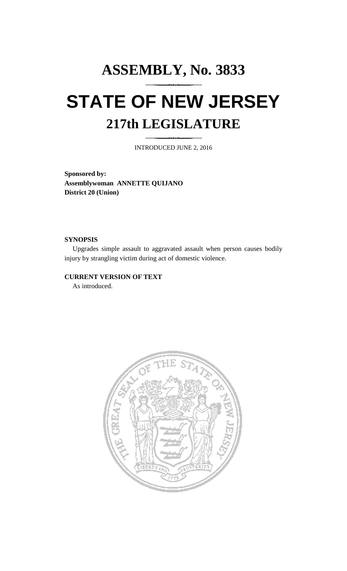## **ASSEMBLY, No. 3833 STATE OF NEW JERSEY 217th LEGISLATURE**

INTRODUCED JUNE 2, 2016

**Sponsored by: Assemblywoman ANNETTE QUIJANO District 20 (Union)**

## **SYNOPSIS**

Upgrades simple assault to aggravated assault when person causes bodily injury by strangling victim during act of domestic violence.

## **CURRENT VERSION OF TEXT**

As introduced.

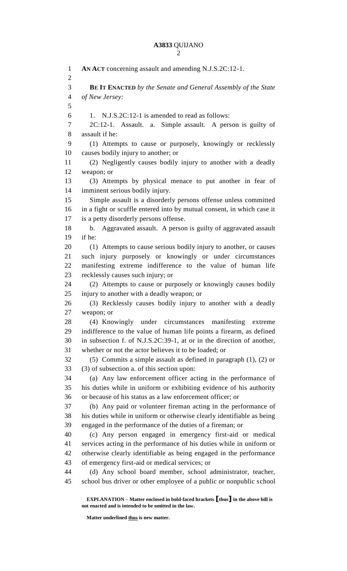**AN ACT** concerning assault and amending N.J.S.2C:12-1. **BE IT ENACTED** *by the Senate and General Assembly of the State of New Jersey:* 1. N.J.S.2C:12-1 is amended to read as follows: 2C:12-1. Assault. a. Simple assault. A person is guilty of assault if he: (1) Attempts to cause or purposely, knowingly or recklessly causes bodily injury to another; or (2) Negligently causes bodily injury to another with a deadly weapon; or (3) Attempts by physical menace to put another in fear of imminent serious bodily injury. Simple assault is a disorderly persons offense unless committed in a fight or scuffle entered into by mutual consent, in which case it is a petty disorderly persons offense. b. Aggravated assault. A person is guilty of aggravated assault if he: (1) Attempts to cause serious bodily injury to another, or causes such injury purposely or knowingly or under circumstances manifesting extreme indifference to the value of human life recklessly causes such injury; or (2) Attempts to cause or purposely or knowingly causes bodily injury to another with a deadly weapon; or (3) Recklessly causes bodily injury to another with a deadly weapon; or (4) Knowingly under circumstances manifesting extreme indifference to the value of human life points a firearm, as defined in subsection f. of N.J.S.2C:39-1, at or in the direction of another, whether or not the actor believes it to be loaded; or (5) Commits a simple assault as defined in paragraph (1), (2) or (3) of subsection a. of this section upon: (a) Any law enforcement officer acting in the performance of his duties while in uniform or exhibiting evidence of his authority or because of his status as a law enforcement officer; or (b) Any paid or volunteer fireman acting in the performance of his duties while in uniform or otherwise clearly identifiable as being engaged in the performance of the duties of a fireman; or (c) Any person engaged in emergency first-aid or medical services acting in the performance of his duties while in uniform or otherwise clearly identifiable as being engaged in the performance of emergency first-aid or medical services; or (d) Any school board member, school administrator, teacher, school bus driver or other employee of a public or nonpublic school

**Matter underlined thus is new matter.**

**EXPLANATION – Matter enclosed in bold-faced brackets [thus] in the above bill is not enacted and is intended to be omitted in the law.**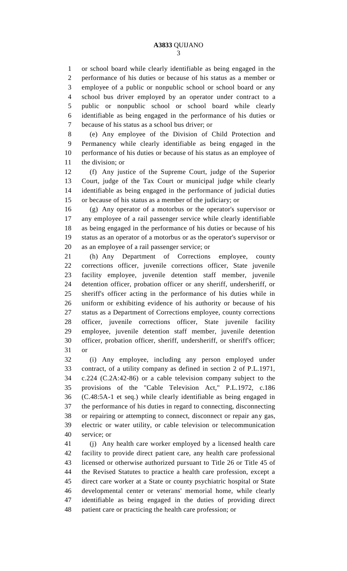or school board while clearly identifiable as being engaged in the performance of his duties or because of his status as a member or employee of a public or nonpublic school or school board or any school bus driver employed by an operator under contract to a public or nonpublic school or school board while clearly identifiable as being engaged in the performance of his duties or because of his status as a school bus driver; or

 (e) Any employee of the Division of Child Protection and Permanency while clearly identifiable as being engaged in the performance of his duties or because of his status as an employee of the division; or

 (f) Any justice of the Supreme Court, judge of the Superior Court, judge of the Tax Court or municipal judge while clearly identifiable as being engaged in the performance of judicial duties or because of his status as a member of the judiciary; or

 (g) Any operator of a motorbus or the operator's supervisor or any employee of a rail passenger service while clearly identifiable as being engaged in the performance of his duties or because of his status as an operator of a motorbus or as the operator's supervisor or as an employee of a rail passenger service; or

 (h) Any Department of Corrections employee, county corrections officer, juvenile corrections officer, State juvenile facility employee, juvenile detention staff member, juvenile detention officer, probation officer or any sheriff, undersheriff, or sheriff's officer acting in the performance of his duties while in uniform or exhibiting evidence of his authority or because of his status as a Department of Corrections employee, county corrections officer, juvenile corrections officer, State juvenile facility employee, juvenile detention staff member, juvenile detention officer, probation officer, sheriff, undersheriff, or sheriff's officer; or

 (i) Any employee, including any person employed under contract, of a utility company as defined in section 2 of P.L.1971, c.224 (C.2A:42-86) or a cable television company subject to the provisions of the "Cable Television Act," P.L.1972, c.186 (C.48:5A-1 et seq.) while clearly identifiable as being engaged in the performance of his duties in regard to connecting, disconnecting or repairing or attempting to connect, disconnect or repair any gas, electric or water utility, or cable television or telecommunication service; or

 (j) Any health care worker employed by a licensed health care facility to provide direct patient care, any health care professional licensed or otherwise authorized pursuant to Title 26 or Title 45 of the Revised Statutes to practice a health care profession, except a direct care worker at a State or county psychiatric hospital or State developmental center or veterans' memorial home, while clearly identifiable as being engaged in the duties of providing direct patient care or practicing the health care profession; or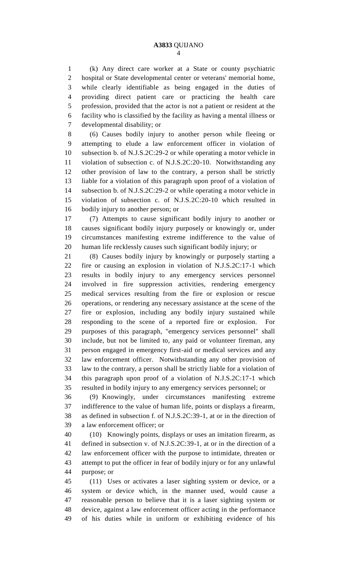(k) Any direct care worker at a State or county psychiatric hospital or State developmental center or veterans' memorial home, while clearly identifiable as being engaged in the duties of providing direct patient care or practicing the health care profession, provided that the actor is not a patient or resident at the facility who is classified by the facility as having a mental illness or developmental disability; or

 (6) Causes bodily injury to another person while fleeing or attempting to elude a law enforcement officer in violation of subsection b. of N.J.S.2C:29-2 or while operating a motor vehicle in violation of subsection c. of N.J.S.2C:20-10. Notwithstanding any other provision of law to the contrary, a person shall be strictly liable for a violation of this paragraph upon proof of a violation of subsection b. of N.J.S.2C:29-2 or while operating a motor vehicle in violation of subsection c. of N.J.S.2C:20-10 which resulted in bodily injury to another person; or

 (7) Attempts to cause significant bodily injury to another or causes significant bodily injury purposely or knowingly or, under circumstances manifesting extreme indifference to the value of human life recklessly causes such significant bodily injury; or

 (8) Causes bodily injury by knowingly or purposely starting a fire or causing an explosion in violation of N.J.S.2C:17-1 which results in bodily injury to any emergency services personnel involved in fire suppression activities, rendering emergency medical services resulting from the fire or explosion or rescue operations, or rendering any necessary assistance at the scene of the fire or explosion, including any bodily injury sustained while responding to the scene of a reported fire or explosion. For purposes of this paragraph, "emergency services personnel" shall include, but not be limited to, any paid or volunteer fireman, any person engaged in emergency first-aid or medical services and any law enforcement officer. Notwithstanding any other provision of law to the contrary, a person shall be strictly liable for a violation of this paragraph upon proof of a violation of N.J.S.2C:17-1 which resulted in bodily injury to any emergency services personnel; or

 (9) Knowingly, under circumstances manifesting extreme indifference to the value of human life, points or displays a firearm, as defined in subsection f. of N.J.S.2C:39-1, at or in the direction of a law enforcement officer; or

 (10) Knowingly points, displays or uses an imitation firearm, as defined in subsection v. of N.J.S.2C:39-1, at or in the direction of a law enforcement officer with the purpose to intimidate, threaten or attempt to put the officer in fear of bodily injury or for any unlawful purpose; or

 (11) Uses or activates a laser sighting system or device, or a system or device which, in the manner used, would cause a reasonable person to believe that it is a laser sighting system or device, against a law enforcement officer acting in the performance of his duties while in uniform or exhibiting evidence of his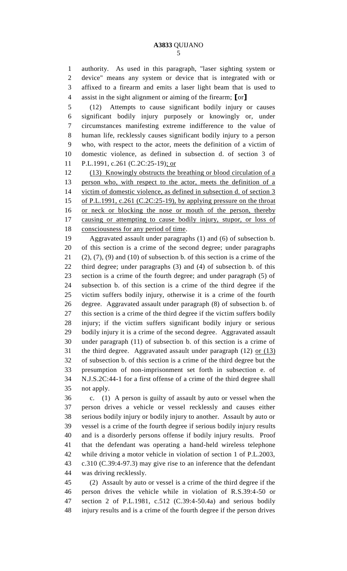authority. As used in this paragraph, "laser sighting system or device" means any system or device that is integrated with or affixed to a firearm and emits a laser light beam that is used to assist in the sight alignment or aiming of the firearm; **[**or**]**

 (12) Attempts to cause significant bodily injury or causes significant bodily injury purposely or knowingly or, under circumstances manifesting extreme indifference to the value of human life, recklessly causes significant bodily injury to a person who, with respect to the actor, meets the definition of a victim of domestic violence, as defined in subsection d. of section 3 of P.L.1991, c.261 (C.2C:25-19); or

 (13) Knowingly obstructs the breathing or blood circulation of a person who, with respect to the actor, meets the definition of a 14 victim of domestic violence, as defined in subsection d. of section 3 15 of P.L.1991, c.261 (C.2C:25-19), by applying pressure on the throat or neck or blocking the nose or mouth of the person, thereby causing or attempting to cause bodily injury, stupor, or loss of 18 consciousness for any period of time.

 Aggravated assault under paragraphs (1) and (6) of subsection b. of this section is a crime of the second degree; under paragraphs 21 (2), (7), (9) and (10) of subsection b. of this section is a crime of the third degree; under paragraphs (3) and (4) of subsection b. of this section is a crime of the fourth degree; and under paragraph (5) of subsection b. of this section is a crime of the third degree if the victim suffers bodily injury, otherwise it is a crime of the fourth degree. Aggravated assault under paragraph (8) of subsection b. of this section is a crime of the third degree if the victim suffers bodily injury; if the victim suffers significant bodily injury or serious bodily injury it is a crime of the second degree. Aggravated assault under paragraph (11) of subsection b. of this section is a crime of 31 the third degree. Aggravated assault under paragraph (12) or (13) of subsection b. of this section is a crime of the third degree but the presumption of non-imprisonment set forth in subsection e. of N.J.S.2C:44-1 for a first offense of a crime of the third degree shall not apply.

 c. (1) A person is guilty of assault by auto or vessel when the person drives a vehicle or vessel recklessly and causes either serious bodily injury or bodily injury to another. Assault by auto or vessel is a crime of the fourth degree if serious bodily injury results and is a disorderly persons offense if bodily injury results. Proof that the defendant was operating a hand-held wireless telephone while driving a motor vehicle in violation of section 1 of P.L.2003, c.310 (C.39:4-97.3) may give rise to an inference that the defendant was driving recklessly.

 (2) Assault by auto or vessel is a crime of the third degree if the person drives the vehicle while in violation of R.S.39:4-50 or section 2 of P.L.1981, c.512 (C.39:4-50.4a) and serious bodily injury results and is a crime of the fourth degree if the person drives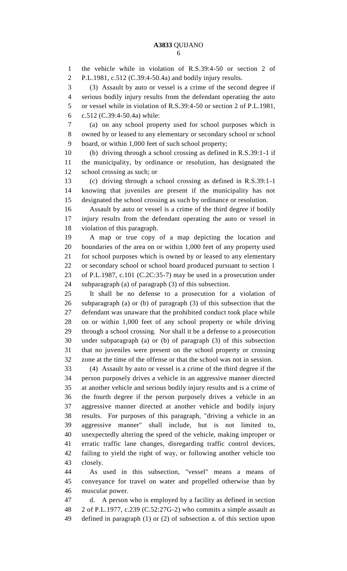## **A3833** QUIJANO

 the vehicle while in violation of R.S.39:4-50 or section 2 of P.L.1981, c.512 (C.39:4-50.4a) and bodily injury results. (3) Assault by auto or vessel is a crime of the second degree if serious bodily injury results from the defendant operating the auto or vessel while in violation of R.S.39:4-50 or section 2 of P.L.1981, c.512 (C.39:4-50.4a) while: (a) on any school property used for school purposes which is owned by or leased to any elementary or secondary school or school board, or within 1,000 feet of such school property; (b) driving through a school crossing as defined in R.S.39:1-1 if the municipality, by ordinance or resolution, has designated the school crossing as such; or (c) driving through a school crossing as defined in R.S.39:1-1 knowing that juveniles are present if the municipality has not designated the school crossing as such by ordinance or resolution. Assault by auto or vessel is a crime of the third degree if bodily injury results from the defendant operating the auto or vessel in violation of this paragraph. A map or true copy of a map depicting the location and boundaries of the area on or within 1,000 feet of any property used for school purposes which is owned by or leased to any elementary or secondary school or school board produced pursuant to section 1 of P.L.1987, c.101 (C.2C:35-7) may be used in a prosecution under subparagraph (a) of paragraph (3) of this subsection. It shall be no defense to a prosecution for a violation of subparagraph (a) or (b) of paragraph (3) of this subsection that the defendant was unaware that the prohibited conduct took place while on or within 1,000 feet of any school property or while driving through a school crossing. Nor shall it be a defense to a prosecution under subparagraph (a) or (b) of paragraph (3) of this subsection that no juveniles were present on the school property or crossing zone at the time of the offense or that the school was not in session. (4) Assault by auto or vessel is a crime of the third degree if the person purposely drives a vehicle in an aggressive manner directed at another vehicle and serious bodily injury results and is a crime of the fourth degree if the person purposely drives a vehicle in an aggressive manner directed at another vehicle and bodily injury results. For purposes of this paragraph, "driving a vehicle in an aggressive manner" shall include, but is not limited to, unexpectedly altering the speed of the vehicle, making improper or erratic traffic lane changes, disregarding traffic control devices, failing to yield the right of way, or following another vehicle too

closely.

 As used in this subsection, "vessel" means a means of conveyance for travel on water and propelled otherwise than by muscular power.

 d. A person who is employed by a facility as defined in section 2 of P.L.1977, c.239 (C.52:27G-2) who commits a simple assault as defined in paragraph (1) or (2) of subsection a. of this section upon